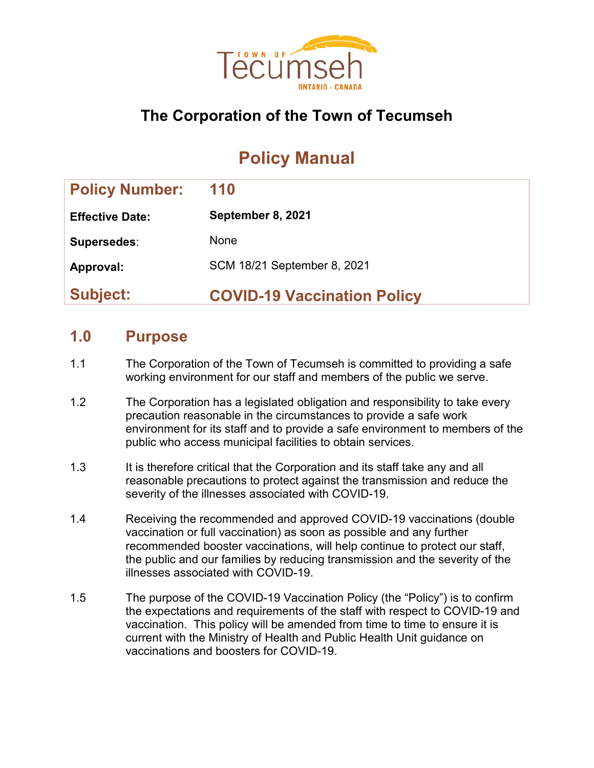

## **The Corporation of the Town of Tecumseh**

# **Policy Manual**

| <b>Policy Number:</b>  | 110                                |
|------------------------|------------------------------------|
| <b>Effective Date:</b> | September 8, 2021                  |
| Supersedes:            | None                               |
| Approval:              | SCM 18/21 September 8, 2021        |
| <b>Subject:</b>        | <b>COVID-19 Vaccination Policy</b> |

### **1.0 Purpose**

- 1.1 The Corporation of the Town of Tecumseh is committed to providing a safe working environment for our staff and members of the public we serve.
- 1.2 The Corporation has a legislated obligation and responsibility to take every precaution reasonable in the circumstances to provide a safe work environment for its staff and to provide a safe environment to members of the public who access municipal facilities to obtain services.
- 1.3 It is therefore critical that the Corporation and its staff take any and all reasonable precautions to protect against the transmission and reduce the severity of the illnesses associated with COVID-19.
- 1.4 Receiving the recommended and approved COVID-19 vaccinations (double vaccination or full vaccination) as soon as possible and any further recommended booster vaccinations, will help continue to protect our staff, the public and our families by reducing transmission and the severity of the illnesses associated with COVID-19.
- 1.5 The purpose of the COVID-19 Vaccination Policy (the "Policy") is to confirm the expectations and requirements of the staff with respect to COVID-19 and vaccination. This policy will be amended from time to time to ensure it is current with the Ministry of Health and Public Health Unit guidance on vaccinations and boosters for COVID-19.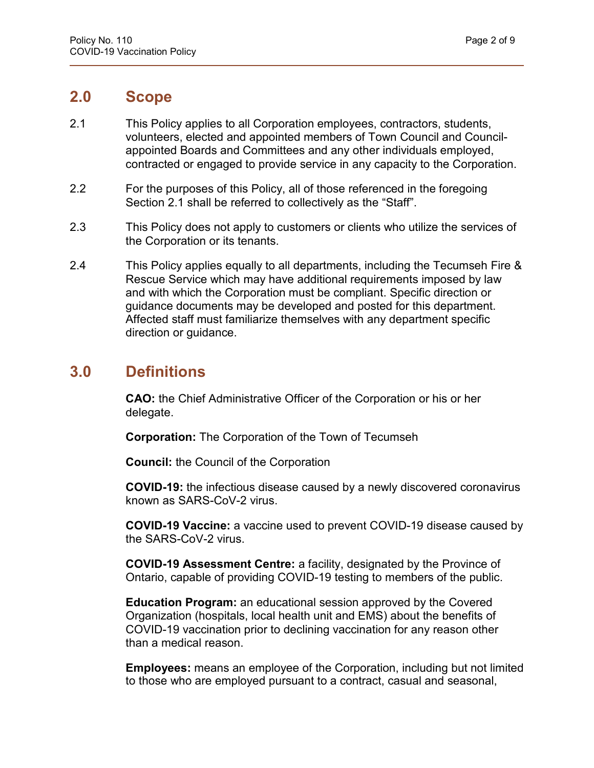### **2.0 Scope**

- 2.1 This Policy applies to all Corporation employees, contractors, students, volunteers, elected and appointed members of Town Council and Councilappointed Boards and Committees and any other individuals employed, contracted or engaged to provide service in any capacity to the Corporation.
- 2.2 For the purposes of this Policy, all of those referenced in the foregoing Section 2.1 shall be referred to collectively as the "Staff".
- 2.3 This Policy does not apply to customers or clients who utilize the services of the Corporation or its tenants.
- 2.4 This Policy applies equally to all departments, including the Tecumseh Fire & Rescue Service which may have additional requirements imposed by law and with which the Corporation must be compliant. Specific direction or guidance documents may be developed and posted for this department. Affected staff must familiarize themselves with any department specific direction or guidance.

### **3.0 Definitions**

**CAO:** the Chief Administrative Officer of the Corporation or his or her delegate.

**Corporation:** The Corporation of the Town of Tecumseh

**Council:** the Council of the Corporation

**COVID-19:** the infectious disease caused by a newly discovered coronavirus known as SARS-CoV-2 virus.

**COVID-19 Vaccine:** a vaccine used to prevent COVID-19 disease caused by the SARS-CoV-2 virus.

**COVID-19 Assessment Centre:** a facility, designated by the Province of Ontario, capable of providing COVID-19 testing to members of the public.

**Education Program:** an educational session approved by the Covered Organization (hospitals, local health unit and EMS) about the benefits of COVID-19 vaccination prior to declining vaccination for any reason other than a medical reason.

**Employees:** means an employee of the Corporation, including but not limited to those who are employed pursuant to a contract, casual and seasonal,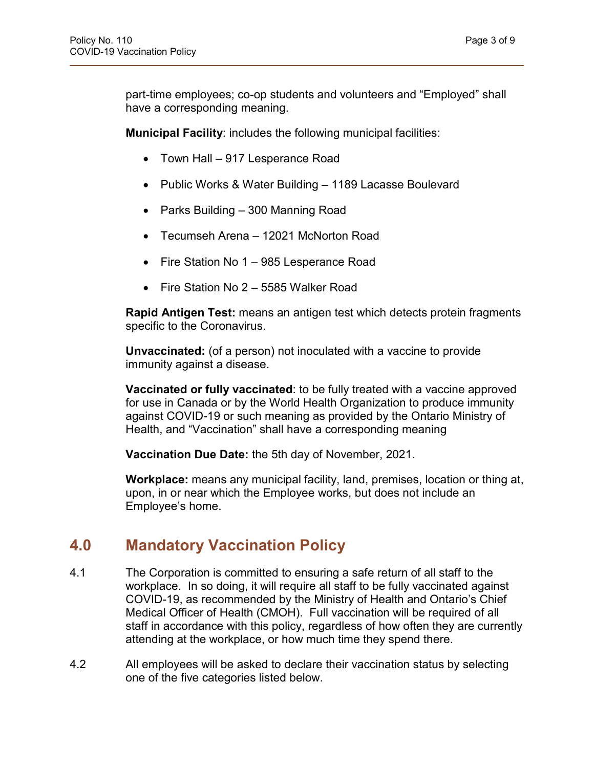part-time employees; co-op students and volunteers and "Employed" shall have a corresponding meaning.

**Municipal Facility**: includes the following municipal facilities:

- Town Hall 917 Lesperance Road
- Public Works & Water Building 1189 Lacasse Boulevard
- Parks Building 300 Manning Road
- Tecumseh Arena 12021 McNorton Road
- Fire Station No 1 985 Lesperance Road
- Fire Station No 2 5585 Walker Road

**Rapid Antigen Test:** means an antigen test which detects protein fragments specific to the Coronavirus.

**Unvaccinated:** (of a person) not inoculated with a vaccine to provide immunity against a disease.

**Vaccinated or fully vaccinated**: to be fully treated with a vaccine approved for use in Canada or by the World Health Organization to produce immunity against COVID-19 or such meaning as provided by the Ontario Ministry of Health, and "Vaccination" shall have a corresponding meaning

**Vaccination Due Date:** the 5th day of November, 2021.

**Workplace:** means any municipal facility, land, premises, location or thing at, upon, in or near which the Employee works, but does not include an Employee's home.

### **4.0 Mandatory Vaccination Policy**

- 4.1 The Corporation is committed to ensuring a safe return of all staff to the workplace. In so doing, it will require all staff to be fully vaccinated against COVID-19, as recommended by the Ministry of Health and Ontario's Chief Medical Officer of Health (CMOH). Full vaccination will be required of all staff in accordance with this policy, regardless of how often they are currently attending at the workplace, or how much time they spend there.
- 4.2 All employees will be asked to declare their vaccination status by selecting one of the five categories listed below.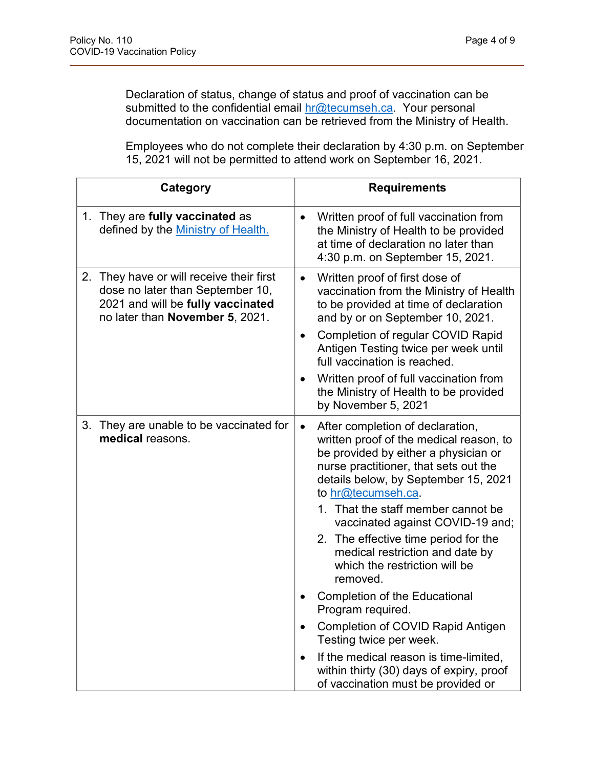Declaration of status, change of status and proof of vaccination can be submitted to the confidential email [hr@tecumseh.ca.](mailto:hr@tecumseh.ca) Your personal documentation on vaccination can be retrieved from the Ministry of Health.

Employees who do not complete their declaration by 4:30 p.m. on September 15, 2021 will not be permitted to attend work on September 16, 2021.

| Category                                                                                                                                                | <b>Requirements</b>                                                                                                                                                                                                                                                                                                                                                                                                                                                                                                                                                                                                                                                                                       |
|---------------------------------------------------------------------------------------------------------------------------------------------------------|-----------------------------------------------------------------------------------------------------------------------------------------------------------------------------------------------------------------------------------------------------------------------------------------------------------------------------------------------------------------------------------------------------------------------------------------------------------------------------------------------------------------------------------------------------------------------------------------------------------------------------------------------------------------------------------------------------------|
| They are fully vaccinated as<br>1.<br>defined by the Ministry of Health.                                                                                | Written proof of full vaccination from<br>$\bullet$<br>the Ministry of Health to be provided<br>at time of declaration no later than<br>4:30 p.m. on September 15, 2021.                                                                                                                                                                                                                                                                                                                                                                                                                                                                                                                                  |
| They have or will receive their first<br>2.<br>dose no later than September 10,<br>2021 and will be fully vaccinated<br>no later than November 5, 2021. | Written proof of first dose of<br>$\bullet$<br>vaccination from the Ministry of Health<br>to be provided at time of declaration<br>and by or on September 10, 2021.<br>Completion of regular COVID Rapid<br>$\bullet$<br>Antigen Testing twice per week until<br>full vaccination is reached.<br>Written proof of full vaccination from<br>the Ministry of Health to be provided<br>by November 5, 2021                                                                                                                                                                                                                                                                                                   |
| They are unable to be vaccinated for<br>3.<br>medical reasons.                                                                                          | After completion of declaration,<br>$\bullet$<br>written proof of the medical reason, to<br>be provided by either a physician or<br>nurse practitioner, that sets out the<br>details below, by September 15, 2021<br>to hr@tecumseh.ca.<br>1. That the staff member cannot be<br>vaccinated against COVID-19 and;<br>2. The effective time period for the<br>medical restriction and date by<br>which the restriction will be<br>removed.<br><b>Completion of the Educational</b><br>Program required.<br><b>Completion of COVID Rapid Antigen</b><br>Testing twice per week.<br>If the medical reason is time-limited,<br>within thirty (30) days of expiry, proof<br>of vaccination must be provided or |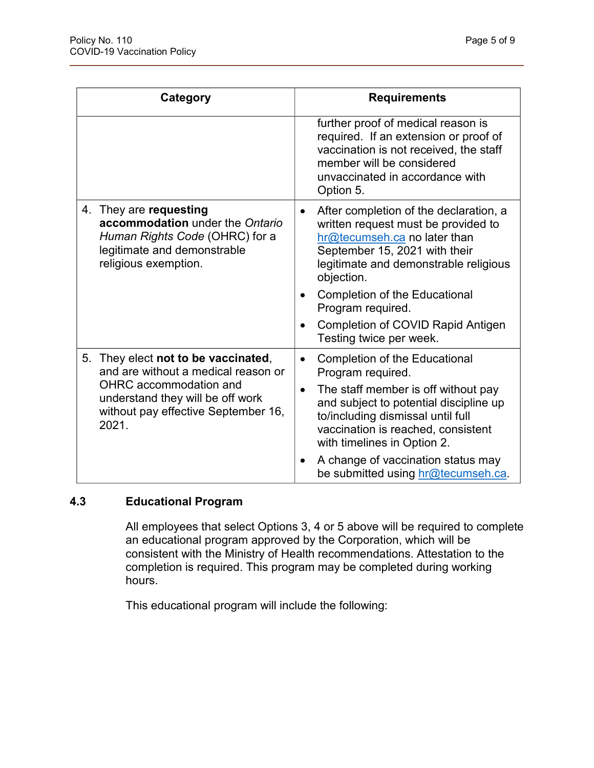| Category                                                                                                                                           | <b>Requirements</b>                                                                                                                                                                                                                                                     |  |  |
|----------------------------------------------------------------------------------------------------------------------------------------------------|-------------------------------------------------------------------------------------------------------------------------------------------------------------------------------------------------------------------------------------------------------------------------|--|--|
|                                                                                                                                                    | further proof of medical reason is<br>required. If an extension or proof of<br>vaccination is not received, the staff<br>member will be considered<br>unvaccinated in accordance with<br>Option 5.                                                                      |  |  |
| 4. They are requesting<br>accommodation under the Ontario<br>Human Rights Code (OHRC) for a<br>legitimate and demonstrable<br>religious exemption. | After completion of the declaration, a<br>$\bullet$<br>written request must be provided to<br>hr@tecumseh.ca no later than<br>September 15, 2021 with their<br>legitimate and demonstrable religious<br>objection.<br><b>Completion of the Educational</b><br>$\bullet$ |  |  |
|                                                                                                                                                    | Program required.                                                                                                                                                                                                                                                       |  |  |
|                                                                                                                                                    | <b>Completion of COVID Rapid Antigen</b><br>$\bullet$<br>Testing twice per week.                                                                                                                                                                                        |  |  |
| They elect not to be vaccinated,<br>5.<br>and are without a medical reason or                                                                      | <b>Completion of the Educational</b><br>$\bullet$<br>Program required.                                                                                                                                                                                                  |  |  |
| OHRC accommodation and<br>understand they will be off work<br>without pay effective September 16,<br>2021.                                         | The staff member is off without pay<br>$\bullet$<br>and subject to potential discipline up<br>to/including dismissal until full<br>vaccination is reached, consistent<br>with timelines in Option 2.                                                                    |  |  |
|                                                                                                                                                    | A change of vaccination status may<br>$\bullet$<br>be submitted using hr@tecumseh.ca.                                                                                                                                                                                   |  |  |

#### **4.3 Educational Program**

All employees that select Options 3, 4 or 5 above will be required to complete an educational program approved by the Corporation, which will be consistent with the Ministry of Health recommendations. Attestation to the completion is required. This program may be completed during working hours.

This educational program will include the following: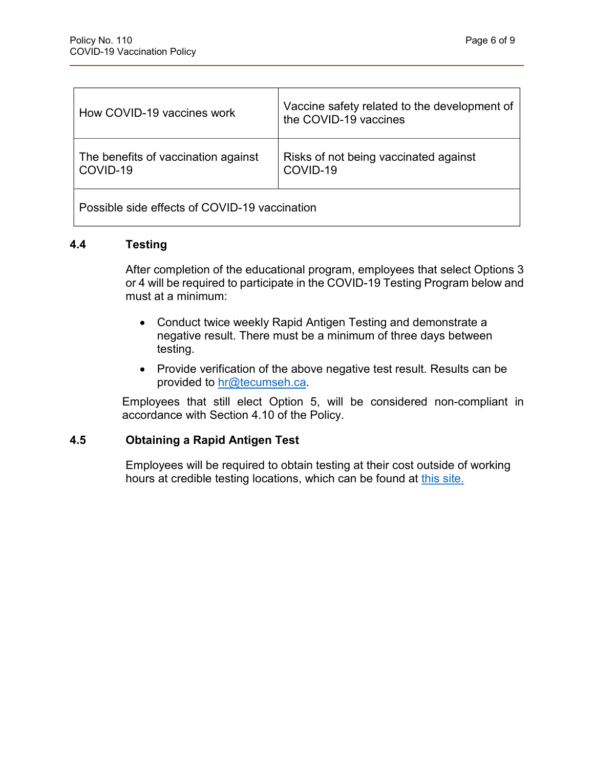| How COVID-19 vaccines work                      | Vaccine safety related to the development of<br>the COVID-19 vaccines |  |
|-------------------------------------------------|-----------------------------------------------------------------------|--|
| The benefits of vaccination against<br>COVID-19 | Risks of not being vaccinated against<br>COVID-19                     |  |
| Possible side effects of COVID-19 vaccination   |                                                                       |  |

#### **4.4 Testing**

After completion of the educational program, employees that select Options 3 or 4 will be required to participate in the COVID-19 Testing Program below and must at a minimum:

- Conduct twice weekly Rapid Antigen Testing and demonstrate a negative result. There must be a minimum of three days between testing.
- Provide verification of the above negative test result. Results can be provided to [hr@tecumseh.ca.](mailto:hr@tecumseh.ca)

Employees that still elect Option 5, will be considered non-compliant in accordance with Section 4.10 of the Policy.

#### **4.5 Obtaining a Rapid Antigen Test**

Employees will be required to obtain testing at their cost outside of working hours at credible testing locations, which can be found at [this site.](https://covid-19.ontario.ca/assessment-centre-locations)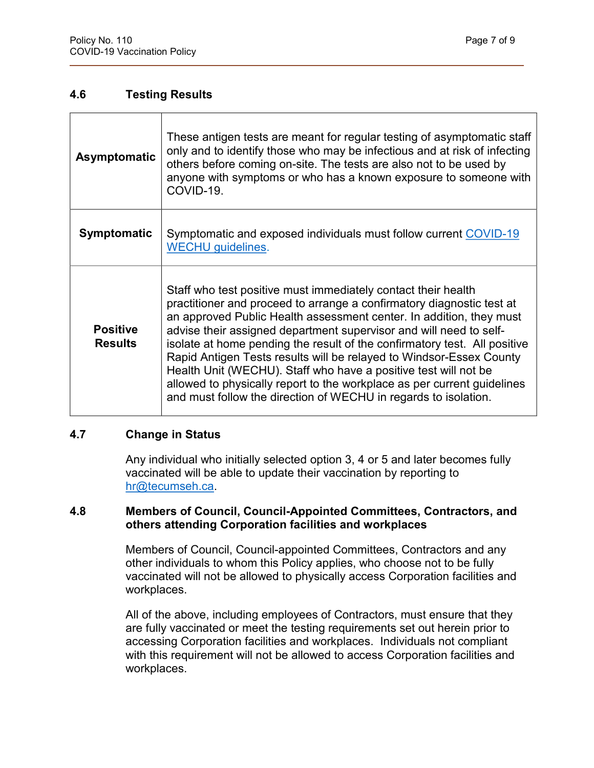#### **4.6 Testing Results**

| Asymptomatic                      | These antigen tests are meant for regular testing of asymptomatic staff<br>only and to identify those who may be infectious and at risk of infecting<br>others before coming on-site. The tests are also not to be used by<br>anyone with symptoms or who has a known exposure to someone with<br>COVID-19.                                                                                                                                                                                                                                                                                                                                              |
|-----------------------------------|----------------------------------------------------------------------------------------------------------------------------------------------------------------------------------------------------------------------------------------------------------------------------------------------------------------------------------------------------------------------------------------------------------------------------------------------------------------------------------------------------------------------------------------------------------------------------------------------------------------------------------------------------------|
| <b>Symptomatic</b>                | Symptomatic and exposed individuals must follow current COVID-19<br><b>WECHU</b> guidelines.                                                                                                                                                                                                                                                                                                                                                                                                                                                                                                                                                             |
| <b>Positive</b><br><b>Results</b> | Staff who test positive must immediately contact their health<br>practitioner and proceed to arrange a confirmatory diagnostic test at<br>an approved Public Health assessment center. In addition, they must<br>advise their assigned department supervisor and will need to self-<br>isolate at home pending the result of the confirmatory test. All positive<br>Rapid Antigen Tests results will be relayed to Windsor-Essex County<br>Health Unit (WECHU). Staff who have a positive test will not be<br>allowed to physically report to the workplace as per current guidelines<br>and must follow the direction of WECHU in regards to isolation. |

#### **4.7 Change in Status**

Any individual who initially selected option 3, 4 or 5 and later becomes fully vaccinated will be able to update their vaccination by reporting to [hr@tecumseh.ca.](mailto:hr@tecumseh.ca)

#### **4.8 Members of Council, Council-Appointed Committees, Contractors, and others attending Corporation facilities and workplaces**

Members of Council, Council-appointed Committees, Contractors and any other individuals to whom this Policy applies, who choose not to be fully vaccinated will not be allowed to physically access Corporation facilities and workplaces.

All of the above, including employees of Contractors, must ensure that they are fully vaccinated or meet the testing requirements set out herein prior to accessing Corporation facilities and workplaces. Individuals not compliant with this requirement will not be allowed to access Corporation facilities and workplaces.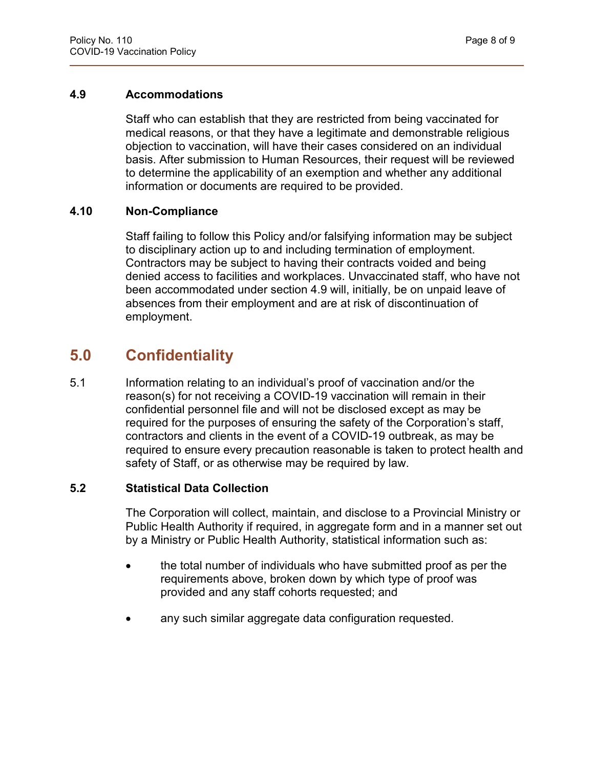#### **4.9 Accommodations**

Staff who can establish that they are restricted from being vaccinated for medical reasons, or that they have a legitimate and demonstrable religious objection to vaccination, will have their cases considered on an individual basis. After submission to Human Resources, their request will be reviewed to determine the applicability of an exemption and whether any additional information or documents are required to be provided.

#### **4.10 Non-Compliance**

Staff failing to follow this Policy and/or falsifying information may be subject to disciplinary action up to and including termination of employment. Contractors may be subject to having their contracts voided and being denied access to facilities and workplaces. Unvaccinated staff, who have not been accommodated under section 4.9 will, initially, be on unpaid leave of absences from their employment and are at risk of discontinuation of employment.

### **5.0 Confidentiality**

5.1 Information relating to an individual's proof of vaccination and/or the reason(s) for not receiving a COVID-19 vaccination will remain in their confidential personnel file and will not be disclosed except as may be required for the purposes of ensuring the safety of the Corporation's staff, contractors and clients in the event of a COVID-19 outbreak, as may be required to ensure every precaution reasonable is taken to protect health and safety of Staff, or as otherwise may be required by law.

#### **5.2 Statistical Data Collection**

The Corporation will collect, maintain, and disclose to a Provincial Ministry or Public Health Authority if required, in aggregate form and in a manner set out by a Ministry or Public Health Authority, statistical information such as:

- the total number of individuals who have submitted proof as per the requirements above, broken down by which type of proof was provided and any staff cohorts requested; and
- any such similar aggregate data configuration requested.